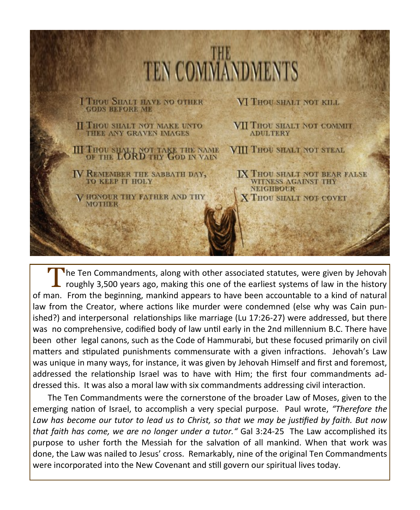

T **The Ten Commandments, along with other associated statutes, were given by Jehovah** roughly 3,500 years ago, making this one of the earliest systems of law in the history of man. From the beginning, mankind appears to have been accountable to a kind of natural law from the Creator, where actions like murder were condemned (else why was Cain punished?) and interpersonal relationships like marriage (Lu 17:26-27) were addressed, but there was no comprehensive, codified body of law until early in the 2nd millennium B.C. There have been other legal canons, such as the Code of Hammurabi, but these focused primarily on civil matters and stipulated punishments commensurate with a given infractions. Jehovah's Law was unique in many ways, for instance, it was given by Jehovah Himself and first and foremost, addressed the relationship Israel was to have with Him; the first four commandments addressed this. It was also a moral law with six commandments addressing civil interaction.

The Ten Commandments were the cornerstone of the broader Law of Moses, given to the emerging nation of Israel, to accomplish a very special purpose. Paul wrote, *"Therefore the Law has become our tutor to lead us to Christ, so that we may be justified by faith. But now that faith has come, we are no longer under a tutor."* Gal 3:24-25 The Law accomplished its purpose to usher forth the Messiah for the salvation of all mankind. When that work was done, the Law was nailed to Jesus' cross. Remarkably, nine of the original Ten Commandments were incorporated into the New Covenant and still govern our spiritual lives today.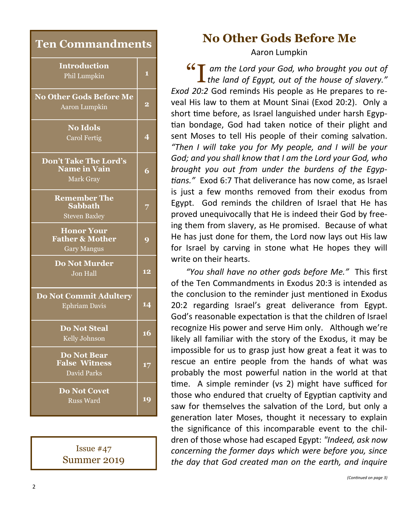| <b>Ten Commandments</b>                                               |                |
|-----------------------------------------------------------------------|----------------|
| <b>Introduction</b><br>Phil Lumpkin                                   | 1              |
| <b>No Other Gods Before Me</b><br>Aaron Lumpkin                       | $\overline{2}$ |
| <b>No Idols</b><br><b>Carol Fertig</b>                                | 4              |
| Don't Take The Lord's<br><b>Name in Vain</b><br>Mark Gray             | 6              |
| <b>Remember The</b><br><b>Sabbath</b><br><b>Steven Baxley</b>         | 7              |
| <b>Honor Your</b><br><b>Father &amp; Mother</b><br><b>Gary Mangus</b> | 9              |
| <b>Do Not Murder</b><br>Jon Hall                                      | 12             |
| <b>Do Not Commit Adultery</b><br><b>Ephriam Davis</b>                 | 14             |
| <b>Do Not Steal</b><br>Kelly Johnson                                  | 16             |
| <b>Do Not Bear</b><br><b>False Witness</b><br>David Parks             | 17             |
| <b>Do Not Covet</b><br>Russ Ward                                      | 19             |

Issue #47 Summer 2019

# **No Other Gods Before Me**

Aaron Lumpkin

**44 I am the Lord your God, who brought you out of** the land of Egypt, out of the house of slavery." *the land of Egypt, out of the house of slavery." Exod 20:2* God reminds His people as He prepares to reveal His law to them at Mount Sinai (Exod 20:2). Only a short time before, as Israel languished under harsh Egyptian bondage, God had taken notice of their plight and sent Moses to tell His people of their coming salvation. *"Then I will take you for My people, and I will be your God; and you shall know that I am the Lord your God, who brought you out from under the burdens of the Egyptians."* Exod 6:7 That deliverance has now come, as Israel is just a few months removed from their exodus from Egypt. God reminds the children of Israel that He has proved unequivocally that He is indeed their God by freeing them from slavery, as He promised. Because of what He has just done for them, the Lord now lays out His law for Israel by carving in stone what He hopes they will write on their hearts.

*"You shall have no other gods before Me."* This first of the Ten Commandments in Exodus 20:3 is intended as the conclusion to the reminder just mentioned in Exodus 20:2 regarding Israel's great deliverance from Egypt. God's reasonable expectation is that the children of Israel recognize His power and serve Him only. Although we're likely all familiar with the story of the Exodus, it may be impossible for us to grasp just how great a feat it was to rescue an entire people from the hands of what was probably the most powerful nation in the world at that time. A simple reminder (vs 2) might have sufficed for those who endured that cruelty of Egyptian captivity and saw for themselves the salvation of the Lord, but only a generation later Moses, thought it necessary to explain the significance of this incomparable event to the children of those whose had escaped Egypt: *"Indeed, ask now concerning the former days which were before you, since the day that God created man on the earth, and inquire*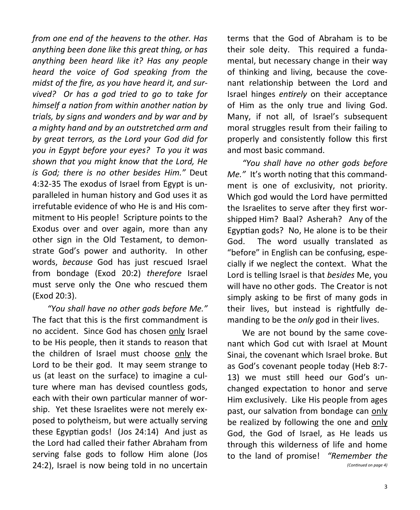*from one end of the heavens to the other. Has anything been done like this great thing, or has anything been heard like it? Has any people heard the voice of God speaking from the midst of the fire, as you have heard it, and survived? Or has a god tried to go to take for himself a nation from within another nation by trials, by signs and wonders and by war and by a mighty hand and by an outstretched arm and by great terrors, as the Lord your God did for you in Egypt before your eyes? To you it was shown that you might know that the Lord, He is God; there is no other besides Him."* Deut 4:32-35 The exodus of Israel from Egypt is unparalleled in human history and God uses it as irrefutable evidence of who He is and His commitment to His people! Scripture points to the Exodus over and over again, more than any other sign in the Old Testament, to demonstrate God's power and authority. In other words, *because* God has just rescued Israel from bondage (Exod 20:2) *therefore* Israel must serve only the One who rescued them (Exod 20:3).

*"You shall have no other gods before Me."*  The fact that this is the first commandment is no accident. Since God has chosen only Israel to be His people, then it stands to reason that the children of Israel must choose only the Lord to be their god. It may seem strange to us (at least on the surface) to imagine a culture where man has devised countless gods, each with their own particular manner of worship. Yet these Israelites were not merely exposed to polytheism, but were actually serving these Egyptian gods! (Jos 24:14) And just as the Lord had called their father Abraham from serving false gods to follow Him alone (Jos 24:2), Israel is now being told in no uncertain terms that the God of Abraham is to be their sole deity. This required a fundamental, but necessary change in their way of thinking and living, because the covenant relationship between the Lord and Israel hinges *entirely* on their acceptance of Him as the only true and living God. Many, if not all, of Israel's subsequent moral struggles result from their failing to properly and consistently follow this first and most basic command.

*"You shall have no other gods before Me."* It's worth noting that this commandment is one of exclusivity, not priority. Which god would the Lord have permitted the Israelites to serve after they first worshipped Him? Baal? Asherah? Any of the Egyptian gods? No, He alone is to be their God. The word usually translated as "before" in English can be confusing, especially if we neglect the context. What the Lord is telling Israel is that *besides* Me, you will have no other gods. The Creator is not simply asking to be first of many gods in their lives, but instead is rightfully demanding to be the *only* god in their lives.

We are not bound by the same covenant which God cut with Israel at Mount Sinai, the covenant which Israel broke. But as God's covenant people today (Heb 8:7- 13) we must still heed our God's unchanged expectation to honor and serve Him exclusively. Like His people from ages past, our salvation from bondage can only be realized by following the one and only God, the God of Israel, as He leads us through this wilderness of life and home to the land of promise! *"Remember the (Continued on page 4)*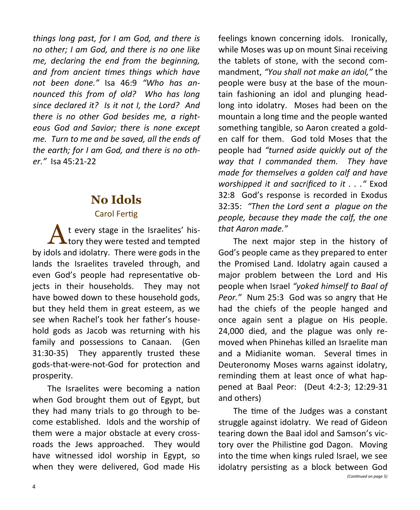*things long past, for I am God, and there is no other; I am God, and there is no one like me, declaring the end from the beginning, and from ancient times things which have not been done."* Isa 46:9 *"Who has announced this from of old? Who has long since declared it? Is it not I, the Lord? And there is no other God besides me, a righteous God and Savior; there is none except me. Turn to me and be saved, all the ends of the earth; for I am God, and there is no other."* Isa 45:21-22

## **No Idols**

#### Carol Fertig

 $\Lambda$  t every stage in the Israelites' his-<br>tory they were tested and tempted t every stage in the Israelites' hisby idols and idolatry. There were gods in the lands the Israelites traveled through, and even God's people had representative objects in their households. They may not have bowed down to these household gods, but they held them in great esteem, as we see when Rachel's took her father's household gods as Jacob was returning with his family and possessions to Canaan. (Gen 31:30-35) They apparently trusted these gods-that-were-not-God for protection and prosperity.

The Israelites were becoming a nation when God brought them out of Egypt, but they had many trials to go through to become established. Idols and the worship of them were a major obstacle at every crossroads the Jews approached. They would have witnessed idol worship in Egypt, so when they were delivered, God made His

feelings known concerning idols. Ironically, while Moses was up on mount Sinai receiving the tablets of stone, with the second commandment, *"You shall not make an idol,"* the people were busy at the base of the mountain fashioning an idol and plunging headlong into idolatry. Moses had been on the mountain a long time and the people wanted something tangible, so Aaron created a golden calf for them. God told Moses that the people had *"turned aside quickly out of the way that I commanded them. They have made for themselves a golden calf and have worshipped it and sacrificed to it . . ."* Exod 32:8 God's response is recorded in Exodus 32:35: *"Then the Lord sent a plague on the people, because they made the calf, the one that Aaron made."*

The next major step in the history of God's people came as they prepared to enter the Promised Land. Idolatry again caused a major problem between the Lord and His people when Israel *"yoked himself to Baal of Peor."* Num 25:3 God was so angry that He had the chiefs of the people hanged and once again sent a plague on His people. 24,000 died, and the plague was only removed when Phinehas killed an Israelite man and a Midianite woman. Several times in Deuteronomy Moses warns against idolatry, reminding them at least once of what happened at Baal Peor: (Deut 4:2-3; 12:29-31 and others)

The time of the Judges was a constant struggle against idolatry. We read of Gideon tearing down the Baal idol and Samson's victory over the Philistine god Dagon. Moving into the time when kings ruled Israel, we see idolatry persisting as a block between God *(Continued on page 5)*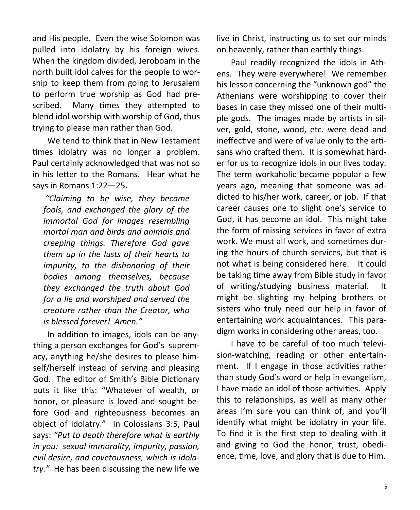and His people. Even the wise Solomon was pulled into idolatry by his foreign wives. When the kingdom divided, Jeroboam in the north built idol calves for the people to worship to keep them from going to Jerusalem to perform true worship as God had prescribed. Many times they attempted to blend idol worship with worship of God, thus trying to please man rather than God.

We tend to think that in New Testament times idolatry was no longer a problem. Paul certainly acknowledged that was not so in his letter to the Romans. Hear what he says in Romans 1:22—25.

*"Claiming to be wise, they became fools, and exchanged the glory of the immortal God for images resembling mortal man and birds and animals and creeping things. Therefore God gave them up in the lusts of their hearts to impurity, to the dishonoring of their bodies among themselves, because they exchanged the truth about God for a lie and worshiped and served the creature rather than the Creator, who is blessed forever! Amen."*

In addition to images, idols can be anything a person exchanges for God's supremacy, anything he/she desires to please himself/herself instead of serving and pleasing God. The editor of Smith's Bible Dictionary puts it like this: "Whatever of wealth, or honor, or pleasure is loved and sought before God and righteousness becomes an object of idolatry." In Colossians 3:5, Paul says: *"Put to death therefore what is earthly in you: sexual immorality, impurity, passion, evil desire, and covetousness, which is idolatry."* He has been discussing the new life we

live in Christ, instructing us to set our minds on heavenly, rather than earthly things.

Paul readily recognized the idols in Athens. They were everywhere! We remember his lesson concerning the "unknown god" the Athenians were worshipping to cover their bases in case they missed one of their multiple gods. The images made by artists in silver, gold, stone, wood, etc. were dead and ineffective and were of value only to the artisans who crafted them. It is somewhat harder for us to recognize idols in our lives today. The term workaholic became popular a few years ago, meaning that someone was addicted to his/her work, career, or job. If that career causes one to slight one's service to God, it has become an idol. This might take the form of missing services in favor of extra work. We must all work, and sometimes during the hours of church services, but that is not what is being considered here. It could be taking time away from Bible study in favor of writing/studying business material. It might be slighting my helping brothers or sisters who truly need our help in favor of entertaining work acquaintances. This paradigm works in considering other areas, too.

I have to be careful of too much television-watching, reading or other entertainment. If I engage in those activities rather than study God's word or help in evangelism, I have made an idol of those activities. Apply this to relationships, as well as many other areas I'm sure you can think of, and you'll identify what might be idolatry in your life. To find it is the first step to dealing with it and giving to God the honor, trust, obedience, time, love, and glory that is due to Him.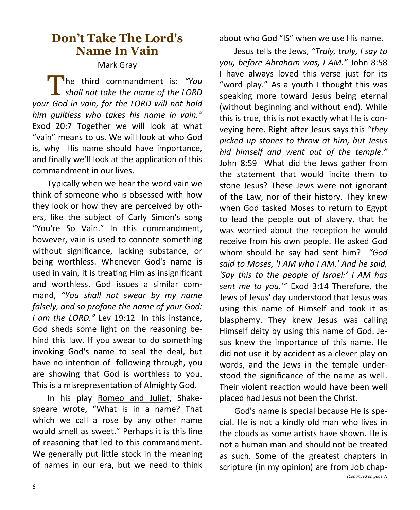## **Don't Take The Lord's Name In Vain**

#### Mark Gray

**The third commandment is: "You shall not take the name of the LORD** he third commandment is: *"You your God in vain, for the LORD will not hold him guiltless who takes his name in vain."*  Exod 20:7 Together we will look at what "vain" means to us. We will look at who God is, why His name should have importance, and finally we'll look at the application of this commandment in our lives.

Typically when we hear the word vain we think of someone who is obsessed with how they look or how they are perceived by others, like the subject of Carly Simon's song "You're So Vain." In this commandment, however, vain is used to connote something without significance, lacking substance, or being worthless. Whenever God's name is used in vain, it is treating Him as insignificant and worthless. God issues a similar command, *"You shall not swear by my name falsely, and so profane the name of your God: I am the LORD."* Lev 19:12 In this instance, God sheds some light on the reasoning behind this law. If you swear to do something invoking God's name to seal the deal, but have no intention of following through, you are showing that God is worthless to you. This is a misrepresentation of Almighty God.

In his play Romeo and Juliet, Shakespeare wrote, "What is in a name? That which we call a rose by any other name would smell as sweet." Perhaps it is this line of reasoning that led to this commandment. We generally put little stock in the meaning of names in our era, but we need to think about who God "IS" when we use His name.

Jesus tells the Jews, *"Truly, truly, I say to you, before Abraham was, I AM."* John 8:58 I have always loved this verse just for its "word play." As a youth I thought this was speaking more toward Jesus being eternal (without beginning and without end). While this is true, this is not exactly what He is conveying here. Right after Jesus says this *"they picked up stones to throw at him, but Jesus hid himself and went out of the temple."*  John 8:59 What did the Jews gather from the statement that would incite them to stone Jesus? These Jews were not ignorant of the Law, nor of their history. They knew when God tasked Moses to return to Egypt to lead the people out of slavery, that he was worried about the reception he would receive from his own people. He asked God whom should he say had sent him? *"God said to Moses, 'I AM who I AM.' And he said, 'Say this to the people of Israel:' I AM has sent me to you.'"* Exod 3:14 Therefore, the Jews of Jesus' day understood that Jesus was using this name of Himself and took it as blasphemy. They knew Jesus was calling Himself deity by using this name of God. Jesus knew the importance of this name. He did not use it by accident as a clever play on words, and the Jews in the temple understood the significance of the name as well. Their violent reaction would have been well placed had Jesus not been the Christ.

God's name is special because He is special. He is not a kindly old man who lives in the clouds as some artists have shown. He is not a human man and should not be treated as such. Some of the greatest chapters in scripture (in my opinion) are from Job chap- *(Continued on page 7)*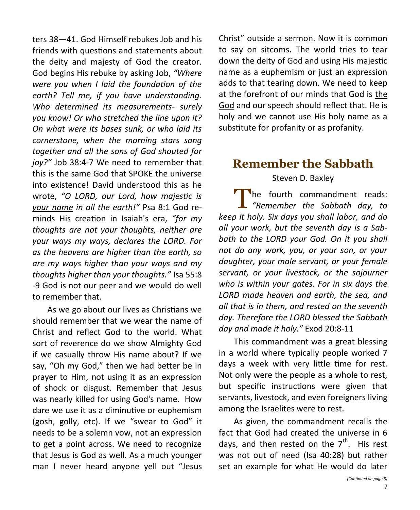ters 38—41. God Himself rebukes Job and his friends with questions and statements about the deity and majesty of God the creator. God begins His rebuke by asking Job, *"Where were you when I laid the foundation of the earth? Tell me, if you have understanding. Who determined its measurements- surely you know! Or who stretched the line upon it? On what were its bases sunk, or who laid its cornerstone, when the morning stars sang together and all the sons of God shouted for joy?"* Job 38:4-7 We need to remember that this is the same God that SPOKE the universe into existence! David understood this as he wrote, *"O LORD, our Lord, how majestic is your name in all the earth!"* Psa 8:1 God reminds His creation in Isaiah's era, *"for my thoughts are not your thoughts, neither are your ways my ways, declares the LORD. For as the heavens are higher than the earth, so are my ways higher than your ways and my thoughts higher than your thoughts."* Isa 55:8 -9 God is not our peer and we would do well to remember that.

As we go about our lives as Christians we should remember that we wear the name of Christ and reflect God to the world. What sort of reverence do we show Almighty God if we casually throw His name about? If we say, "Oh my God," then we had better be in prayer to Him, not using it as an expression of shock or disgust. Remember that Jesus was nearly killed for using God's name. How dare we use it as a diminutive or euphemism (gosh, golly, etc). If we "swear to God" it needs to be a solemn vow, not an expression to get a point across. We need to recognize that Jesus is God as well. As a much younger man I never heard anyone yell out "Jesus

Christ" outside a sermon. Now it is common to say on sitcoms. The world tries to tear down the deity of God and using His majestic name as a euphemism or just an expression adds to that tearing down. We need to keep at the forefront of our minds that God is the God and our speech should reflect that. He is holy and we cannot use His holy name as a substitute for profanity or as profanity.

### **Remember the Sabbath** Steven D. Baxley

The fourth commandment reads:<br>
"Remember the Sabbath day, to The fourth commandment reads: *keep it holy. Six days you shall labor, and do all your work, but the seventh day is a Sabbath to the LORD your God. On it you shall not do any work, you, or your son, or your daughter, your male servant, or your female servant, or your livestock, or the sojourner who is within your gates. For in six days the LORD made heaven and earth, the sea, and all that is in them, and rested on the seventh day. Therefore the LORD blessed the Sabbath day and made it holy."* Exod 20:8-11

This commandment was a great blessing in a world where typically people worked 7 days a week with very little time for rest. Not only were the people as a whole to rest, but specific instructions were given that servants, livestock, and even foreigners living among the Israelites were to rest.

As given, the commandment recalls the fact that God had created the universe in 6 days, and then rested on the  $7<sup>th</sup>$ . His rest was not out of need (Isa 40:28) but rather set an example for what He would do later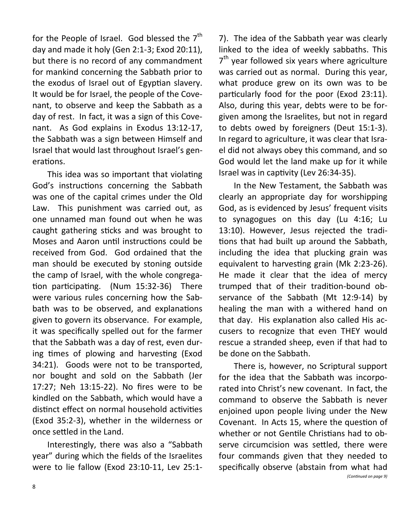for the People of Israel. God blessed the  $7<sup>th</sup>$ day and made it holy (Gen 2:1-3; Exod 20:11), but there is no record of any commandment for mankind concerning the Sabbath prior to the exodus of Israel out of Egyptian slavery. It would be for Israel, the people of the Covenant, to observe and keep the Sabbath as a day of rest. In fact, it was a sign of this Covenant. As God explains in Exodus 13:12-17, the Sabbath was a sign between Himself and Israel that would last throughout Israel's generations.

This idea was so important that violating God's instructions concerning the Sabbath was one of the capital crimes under the Old Law. This punishment was carried out, as one unnamed man found out when he was caught gathering sticks and was brought to Moses and Aaron until instructions could be received from God. God ordained that the man should be executed by stoning outside the camp of Israel, with the whole congregation participating. (Num 15:32-36) There were various rules concerning how the Sabbath was to be observed, and explanations given to govern its observance. For example, it was specifically spelled out for the farmer that the Sabbath was a day of rest, even during times of plowing and harvesting (Exod 34:21). Goods were not to be transported, nor bought and sold on the Sabbath (Jer 17:27; Neh 13:15-22). No fires were to be kindled on the Sabbath, which would have a distinct effect on normal household activities (Exod 35:2-3), whether in the wilderness or once settled in the Land.

Interestingly, there was also a "Sabbath year" during which the fields of the Israelites were to lie fallow (Exod 23:10-11, Lev 25:1-

7). The idea of the Sabbath year was clearly linked to the idea of weekly sabbaths. This 7<sup>th</sup> year followed six years where agriculture was carried out as normal. During this year, what produce grew on its own was to be particularly food for the poor (Exod 23:11). Also, during this year, debts were to be forgiven among the Israelites, but not in regard to debts owed by foreigners (Deut 15:1-3). In regard to agriculture, it was clear that Israel did not always obey this command, and so God would let the land make up for it while Israel was in captivity (Lev 26:34-35).

In the New Testament, the Sabbath was clearly an appropriate day for worshipping God, as is evidenced by Jesus' frequent visits to synagogues on this day (Lu 4:16; Lu 13:10). However, Jesus rejected the traditions that had built up around the Sabbath, including the idea that plucking grain was equivalent to harvesting grain (Mk 2:23-26). He made it clear that the idea of mercy trumped that of their tradition-bound observance of the Sabbath (Mt 12:9-14) by healing the man with a withered hand on that day. His explanation also called His accusers to recognize that even THEY would rescue a stranded sheep, even if that had to be done on the Sabbath.

There is, however, no Scriptural support for the idea that the Sabbath was incorporated into Christ's new covenant. In fact, the command to observe the Sabbath is never enjoined upon people living under the New Covenant. In Acts 15, where the question of whether or not Gentile Christians had to observe circumcision was settled, there were four commands given that they needed to specifically observe (abstain from what had *(Continued on page 9)*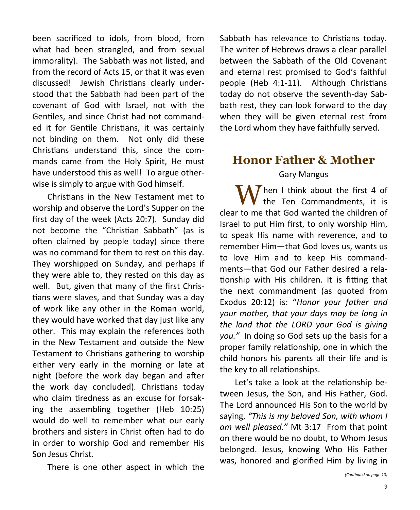been sacrificed to idols, from blood, from what had been strangled, and from sexual immorality). The Sabbath was not listed, and from the record of Acts 15, or that it was even discussed! Jewish Christians clearly understood that the Sabbath had been part of the covenant of God with Israel, not with the Gentiles, and since Christ had not commanded it for Gentile Christians, it was certainly not binding on them. Not only did these Christians understand this, since the commands came from the Holy Spirit, He must have understood this as well! To argue otherwise is simply to argue with God himself.

Christians in the New Testament met to worship and observe the Lord's Supper on the first day of the week (Acts 20:7). Sunday did not become the "Christian Sabbath" (as is often claimed by people today) since there was no command for them to rest on this day. They worshipped on Sunday, and perhaps if they were able to, they rested on this day as well. But, given that many of the first Christians were slaves, and that Sunday was a day of work like any other in the Roman world, they would have worked that day just like any other. This may explain the references both in the New Testament and outside the New Testament to Christians gathering to worship either very early in the morning or late at night (before the work day began and after the work day concluded). Christians today who claim tiredness as an excuse for forsaking the assembling together (Heb 10:25) would do well to remember what our early brothers and sisters in Christ often had to do in order to worship God and remember His Son Jesus Christ.

There is one other aspect in which the

Sabbath has relevance to Christians today. The writer of Hebrews draws a clear parallel between the Sabbath of the Old Covenant and eternal rest promised to God's faithful people (Heb 4:1-11). Although Christians today do not observe the seventh-day Sabbath rest, they can look forward to the day when they will be given eternal rest from the Lord whom they have faithfully served.

## **Honor Father & Mother** Gary Mangus

Then I think about the first 4 of the Ten Commandments, it is clear to me that God wanted the children of Israel to put Him first, to only worship Him, to speak His name with reverence, and to remember Him—that God loves us, wants us to love Him and to keep His commandments—that God our Father desired a relationship with His children. It is fitting that the next commandment (as quoted from Exodus 20:12) is: "*Honor your father and your mother, that your days may be long in the land that the LORD your God is giving you."* In doing so God sets up the basis for a proper family relationship, one in which the child honors his parents all their life and is the key to all relationships.

Let's take a look at the relationship between Jesus, the Son, and His Father, God. The Lord announced His Son to the world by saying, *"This is my beloved Son, with whom I am well pleased."* Mt 3:17 From that point on there would be no doubt, to Whom Jesus belonged. Jesus, knowing Who His Father was, honored and glorified Him by living in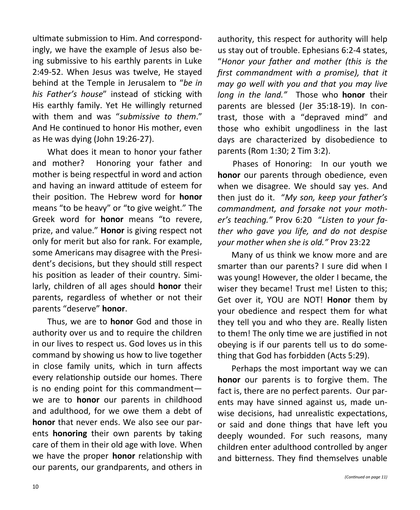ultimate submission to Him. And correspondingly, we have the example of Jesus also being submissive to his earthly parents in Luke 2:49-52. When Jesus was twelve, He stayed behind at the Temple in Jerusalem to "*be in his Father's house*" instead of sticking with His earthly family. Yet He willingly returned with them and was "*submissive to them*." And He continued to honor His mother, even as He was dying (John 19:26-27).

What does it mean to honor your father and mother? Honoring your father and mother is being respectful in word and action and having an inward attitude of esteem for their position. The Hebrew word for **honor** means "to be heavy" or "to give weight." The Greek word for **honor** means "to revere, prize, and value." **Honor** is giving respect not only for merit but also for rank. For example, some Americans may disagree with the President's decisions, but they should still respect his position as leader of their country. Similarly, children of all ages should **honor** their parents, regardless of whether or not their parents "deserve" **honor**.

Thus, we are to **honor** God and those in authority over us and to require the children in our lives to respect us. God loves us in this command by showing us how to live together in close family units, which in turn affects every relationship outside our homes. There is no ending point for this commandment we are to **honor** our parents in childhood and adulthood, for we owe them a debt of **honor** that never ends. We also see our parents **honoring** their own parents by taking care of them in their old age with love. When we have the proper **honor** relationship with our parents, our grandparents, and others in

authority, this respect for authority will help us stay out of trouble. Ephesians 6:2-4 states, "*Honor your father and mother (this is the first commandment with a promise), that it may go well with you and that you may live long in the land."* Those who **honor** their parents are blessed (Jer 35:18-19). In contrast, those with a "depraved mind" and those who exhibit ungodliness in the last days are characterized by disobedience to parents (Rom 1:30; 2 Tim 3:2).

Phases of Honoring: In our youth we **honor** our parents through obedience, even when we disagree. We should say yes. And then just do it. "*My son, keep your father's commandment, and forsake not your mother's teaching."* Prov 6:20 "*Listen to your father who gave you life, and do not despise your mother when she is old."* Prov 23:22

Many of us think we know more and are smarter than our parents? I sure did when I was young! However, the older I became, the wiser they became! Trust me! Listen to this; Get over it, YOU are NOT! **Honor** them by your obedience and respect them for what they tell you and who they are. Really listen to them! The only time we are justified in not obeying is if our parents tell us to do something that God has forbidden (Acts 5:29).

Perhaps the most important way we can **honor** our parents is to forgive them. The fact is, there are no perfect parents. Our parents may have sinned against us, made unwise decisions, had unrealistic expectations, or said and done things that have left you deeply wounded. For such reasons, many children enter adulthood controlled by anger and bitterness. They find themselves unable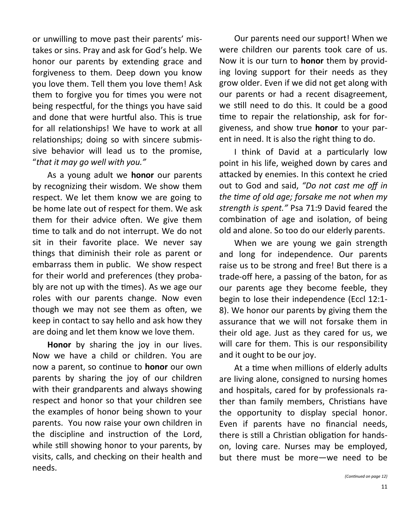or unwilling to move past their parents' mistakes or sins. Pray and ask for God's help. We honor our parents by extending grace and forgiveness to them. Deep down you know you love them. Tell them you love them! Ask them to forgive you for times you were not being respectful, for the things you have said and done that were hurtful also. This is true for all relationships! We have to work at all relationships; doing so with sincere submissive behavior will lead us to the promise, "*that it may go well with you."*

As a young adult we **honor** our parents by recognizing their wisdom. We show them respect. We let them know we are going to be home late out of respect for them. We ask them for their advice often. We give them time to talk and do not interrupt. We do not sit in their favorite place. We never say things that diminish their role as parent or embarrass them in public. We show respect for their world and preferences (they probably are not up with the times). As we age our roles with our parents change. Now even though we may not see them as often, we keep in contact to say hello and ask how they are doing and let them know we love them.

**Honor** by sharing the joy in our lives. Now we have a child or children. You are now a parent, so continue to **honor** our own parents by sharing the joy of our children with their grandparents and always showing respect and honor so that your children see the examples of honor being shown to your parents. You now raise your own children in the discipline and instruction of the Lord, while still showing honor to your parents, by visits, calls, and checking on their health and needs.

Our parents need our support! When we were children our parents took care of us. Now it is our turn to **honor** them by providing loving support for their needs as they grow older. Even if we did not get along with our parents or had a recent disagreement, we still need to do this. It could be a good time to repair the relationship, ask for forgiveness, and show true **honor** to your parent in need. It is also the right thing to do.

I think of David at a particularly low point in his life, weighed down by cares and attacked by enemies. In this context he cried out to God and said, *"Do not cast me off in the time of old age; forsake me not when my strength is spent."* Psa 71:9 David feared the combination of age and isolation, of being old and alone. So too do our elderly parents.

When we are young we gain strength and long for independence. Our parents raise us to be strong and free! But there is a trade-off here, a passing of the baton, for as our parents age they become feeble, they begin to lose their independence (Eccl 12:1- 8). We honor our parents by giving them the assurance that we will not forsake them in their old age. Just as they cared for us, we will care for them. This is our responsibility and it ought to be our joy.

At a time when millions of elderly adults are living alone, consigned to nursing homes and hospitals, cared for by professionals rather than family members, Christians have the opportunity to display special honor. Even if parents have no financial needs, there is still a Christian obligation for handson, loving care. Nurses may be employed, but there must be more—we need to be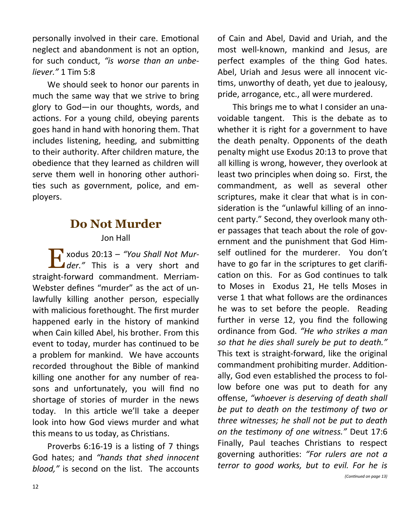personally involved in their care. Emotional neglect and abandonment is not an option, for such conduct, *"is worse than an unbeliever."* 1 Tim 5:8

We should seek to honor our parents in much the same way that we strive to bring glory to God—in our thoughts, words, and actions. For a young child, obeying parents goes hand in hand with honoring them. That includes listening, heeding, and submitting to their authority. After children mature, the obedience that they learned as children will serve them well in honoring other authorities such as government, police, and employers.

## **Do Not Murder**

#### Jon Hall

E xodus 20:13 – *"You Shall Not Mur*der.<sup>"</sup> This is a very short and straight-forward commandment. Merriam-Webster defines "murder" as the act of unlawfully killing another person, especially with malicious forethought. The first murder happened early in the history of mankind when Cain killed Abel, his brother. From this event to today, murder has continued to be a problem for mankind. We have accounts recorded throughout the Bible of mankind killing one another for any number of reasons and unfortunately, you will find no shortage of stories of murder in the news today. In this article we'll take a deeper look into how God views murder and what this means to us today, as Christians.

Proverbs 6:16-19 is a listing of 7 things God hates; and *"hands that shed innocent blood,"* is second on the list. The accounts

of Cain and Abel, David and Uriah, and the most well-known, mankind and Jesus, are perfect examples of the thing God hates. Abel, Uriah and Jesus were all innocent victims, unworthy of death, yet due to jealousy, pride, arrogance, etc., all were murdered.

This brings me to what I consider an unavoidable tangent. This is the debate as to whether it is right for a government to have the death penalty. Opponents of the death penalty might use Exodus 20:13 to prove that all killing is wrong, however, they overlook at least two principles when doing so. First, the commandment, as well as several other scriptures, make it clear that what is in consideration is the "unlawful killing of an innocent party." Second, they overlook many other passages that teach about the role of government and the punishment that God Himself outlined for the murderer. You don't have to go far in the scriptures to get clarification on this. For as God continues to talk to Moses in Exodus 21, He tells Moses in verse 1 that what follows are the ordinances he was to set before the people. Reading further in verse 12, you find the following ordinance from God. *"He who strikes a man so that he dies shall surely be put to death."* This text is straight-forward, like the original commandment prohibiting murder. Additionally, God even established the process to follow before one was put to death for any offense, *"whoever is deserving of death shall be put to death on the testimony of two or three witnesses; he shall not be put to death on the testimony of one witness."* Deut 17:6 Finally, Paul teaches Christians to respect governing authorities: *"For rulers are not a terror to good works, but to evil. For he is*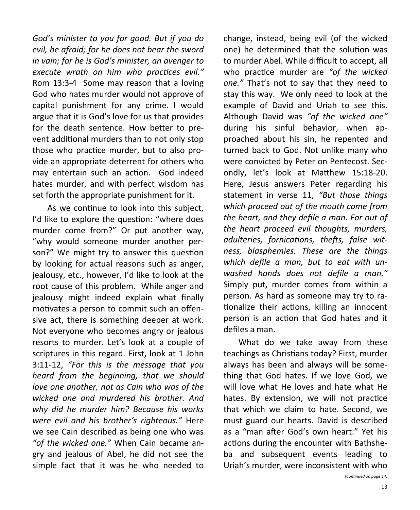*God's minister to you for good. But if you do evil, be afraid; for he does not bear the sword in vain; for he is God's minister, an avenger to execute wrath on him who practices evil."* Rom 13:3-4 Some may reason that a loving God who hates murder would not approve of capital punishment for any crime. I would argue that it is God's love for us that provides for the death sentence. How better to prevent additional murders than to not only stop those who practice murder, but to also provide an appropriate deterrent for others who may entertain such an action. God indeed hates murder, and with perfect wisdom has set forth the appropriate punishment for it.

As we continue to look into this subject, I'd like to explore the question: "where does murder come from?" Or put another way, "why would someone murder another person?" We might try to answer this question by looking for actual reasons such as anger, jealousy, etc., however, I'd like to look at the root cause of this problem. While anger and jealousy might indeed explain what finally motivates a person to commit such an offensive act, there is something deeper at work. Not everyone who becomes angry or jealous resorts to murder. Let's look at a couple of scriptures in this regard. First, look at 1 John 3:11-12, *"For this is the message that you heard from the beginning, that we should love one another, not as Cain who was of the wicked one and murdered his brother. And why did he murder him? Because his works were evil and his brother's righteous."* Here we see Cain described as being one who was *"of the wicked one."* When Cain became angry and jealous of Abel, he did not see the simple fact that it was he who needed to change, instead, being evil (of the wicked one) he determined that the solution was to murder Abel. While difficult to accept, all who practice murder are *"of the wicked one."* That's not to say that they need to stay this way. We only need to look at the example of David and Uriah to see this. Although David was *"of the wicked one"*  during his sinful behavior, when approached about his sin, he repented and turned back to God. Not unlike many who were convicted by Peter on Pentecost. Secondly, let's look at Matthew 15:18-20. Here, Jesus answers Peter regarding his statement in verse 11, *"But those things which proceed out of the mouth come from the heart, and they defile a man. For out of the heart proceed evil thoughts, murders, adulteries, fornications, thefts, false witness, blasphemies. These are the things which defile a man, but to eat with unwashed hands does not defile a man."* Simply put, murder comes from within a person. As hard as someone may try to rationalize their actions, killing an innocent person is an action that God hates and it defiles a man.

What do we take away from these teachings as Christians today? First, murder always has been and always will be something that God hates. If we love God, we will love what He loves and hate what He hates. By extension, we will not practice that which we claim to hate. Second, we must guard our hearts. David is described as a "man after God's own heart." Yet his actions during the encounter with Bathsheba and subsequent events leading to Uriah's murder, were inconsistent with who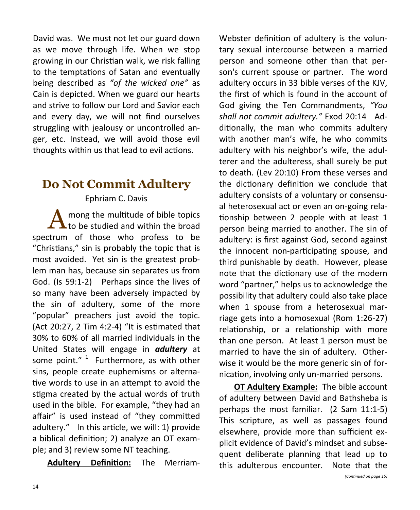David was. We must not let our guard down as we move through life. When we stop growing in our Christian walk, we risk falling to the temptations of Satan and eventually being described as *"of the wicked one"* as Cain is depicted. When we guard our hearts and strive to follow our Lord and Savior each and every day, we will not find ourselves struggling with jealousy or uncontrolled anger, etc. Instead, we will avoid those evil thoughts within us that lead to evil actions.

## **Do Not Commit Adultery**

Ephriam C. Davis

A mong the multitude of bible topics to be studied and within the broad spectrum of those who profess to be "Christians," sin is probably the topic that is most avoided. Yet sin is the greatest problem man has, because sin separates us from God. (Is 59:1-2) Perhaps since the lives of so many have been adversely impacted by the sin of adultery, some of the more "popular" preachers just avoid the topic. (Act 20:27, 2 Tim 4:2-4) "It is estimated that 30% to 60% of all married individuals in the United States will engage in *adultery* at some point."  $1$  Furthermore, as with other sins, people create euphemisms or alternative words to use in an attempt to avoid the stigma created by the actual words of truth used in the bible. For example, "they had an affair" is used instead of "they committed adultery." In this article, we will: 1) provide a biblical definition; 2) analyze an OT example; and 3) review some NT teaching.

**Adultery Definition:** The Merriam-

Webster definition of adultery is the voluntary sexual intercourse between a married person and someone other than that person's current spouse or partner. The word adultery occurs in 33 bible verses of the KJV, the first of which is found in the account of God giving the Ten Commandments, *"You shall not commit adultery."* Exod 20:14 Additionally, the man who commits adultery with another man's wife, he who commits adultery with his neighbor's wife, the adulterer and the adulteress, shall surely be put to death. (Lev 20:10) From these verses and the dictionary definition we conclude that adultery consists of a voluntary or consensual heterosexual act or even an on-going relationship between 2 people with at least 1 person being married to another. The sin of adultery: is first against God, second against the innocent non-participating spouse, and third punishable by death. However, please note that the dictionary use of the modern word "partner," helps us to acknowledge the possibility that adultery could also take place when 1 spouse from a heterosexual marriage gets into a homosexual (Rom 1:26-27) relationship, or a relationship with more than one person. At least 1 person must be married to have the sin of adultery. Otherwise it would be the more generic sin of fornication, involving only un-married persons.

**OT Adultery Example:** The bible account of adultery between David and Bathsheba is perhaps the most familiar. (2 Sam 11:1-5) This scripture, as well as passages found elsewhere, provide more than sufficient explicit evidence of David's mindset and subsequent deliberate planning that lead up to this adulterous encounter. Note that the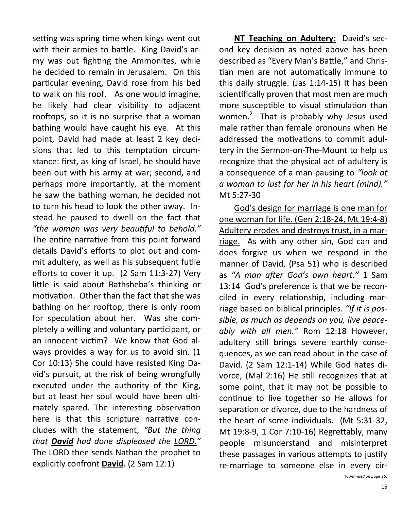setting was spring time when kings went out with their armies to battle. King David's army was out fighting the Ammonites, while he decided to remain in Jerusalem. On this particular evening, David rose from his bed to walk on his roof. As one would imagine, he likely had clear visibility to adjacent rooftops, so it is no surprise that a woman bathing would have caught his eye. At this point, David had made at least 2 key decisions that led to this temptation circumstance: first, as king of Israel, he should have been out with his army at war; second, and perhaps more importantly, at the moment he saw the bathing woman, he decided not to turn his head to look the other away. Instead he paused to dwell on the fact that *"the woman was very beautiful to behold."*  The entire narrative from this point forward details David's efforts to plot out and commit adultery, as well as his subsequent futile efforts to cover it up. (2 Sam 11:3-27) Very little is said about Bathsheba's thinking or motivation. Other than the fact that she was bathing on her rooftop, there is only room for speculation about her. Was she completely a willing and voluntary participant, or an innocent victim? We know that God always provides a way for us to avoid sin. (1 Cor 10:13) She could have resisted King David's pursuit, at the risk of being wrongfully executed under the authority of the King, but at least her soul would have been ultimately spared. The interesting observation here is that this scripture narrative concludes with the statement, *"But the thing that David had done displeased the LORD."*  The LORD then sends Nathan the prophet to explicitly confront **David**. (2 Sam 12:1)

**NT Teaching on Adultery:** David's second key decision as noted above has been described as "Every Man's Battle," and Christian men are not automatically immune to this daily struggle. (Jas 1:14-15) It has been scientifically proven that most men are much more susceptible to visual stimulation than women. $^2$  That is probably why Jesus used male rather than female pronouns when He addressed the motivations to commit adultery in the Sermon-on-The-Mount to help us recognize that the physical act of adultery is a consequence of a man pausing to *"look at a woman to lust for her in his heart (mind)."* Mt 5:27-30

God's design for marriage is one man for one woman for life. (Gen 2:18-24, Mt 19:4-8) Adultery erodes and destroys trust, in a marriage. As with any other sin, God can and does forgive us when we respond in the manner of David, (Psa 51) who is described as *"A man after God's own heart."* 1 Sam 13:14 God's preference is that we be reconciled in every relationship, including marriage based on biblical principles. *"If it is possible, as much as depends on you, live peaceably with all men."* Rom 12:18 However, adultery still brings severe earthly consequences, as we can read about in the case of David. (2 Sam 12:1-14) While God hates divorce, (Mal 2:16) He still recognizes that at some point, that it may not be possible to continue to live together so He allows for separation or divorce, due to the hardness of the heart of some individuals. (Mt 5:31-32, Mt 19:8-9, 1 Cor 7:10-16) Regrettably, many people misunderstand and misinterpret these passages in various attempts to justify re-marriage to someone else in every cir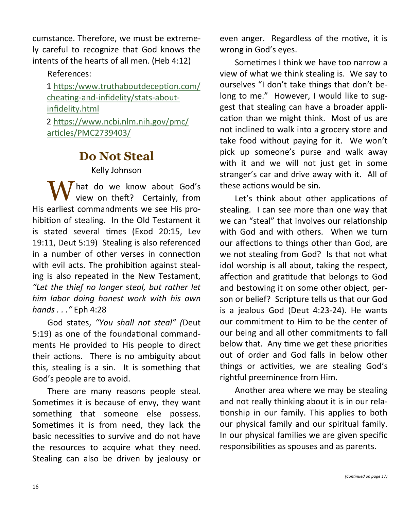cumstance. Therefore, we must be extremely careful to recognize that God knows the intents of the hearts of all men. (Heb 4:12)

References:

1 [https:/www.truthaboutdeception.com/](https://www.truthaboutdeception.com/cheating-and-infidelity/stats-about-infidelity.html) cheating-and-[infidelity/stats](https://www.truthaboutdeception.com/cheating-and-infidelity/stats-about-infidelity.html)-about[infidelity.html](https://www.truthaboutdeception.com/cheating-and-infidelity/stats-about-infidelity.html) 2 [https://www.ncbi.nlm.nih.gov/pmc/](https://www.ncbi.nlm.nih.gov/pmc/articles/PMC2739403/) [articles/PMC2739403/](https://www.ncbi.nlm.nih.gov/pmc/articles/PMC2739403/)

## **Do Not Steal**

Kelly Johnson

What do we know about God's<br>view on theft? Certainly, from His earliest commandments we see His prohibition of stealing. In the Old Testament it is stated several times (Exod 20:15, Lev 19:11, Deut 5:19) Stealing is also referenced in a number of other verses in connection with evil acts. The prohibition against stealing is also repeated in the New Testament, *"Let the thief no longer steal, but rather let him labor doing honest work with his own hands . . ."* Eph 4:28

God states, *"You shall not steal" (*Deut 5:19) as one of the foundational commandments He provided to His people to direct their actions. There is no ambiguity about this, stealing is a sin. It is something that God's people are to avoid.

There are many reasons people steal. Sometimes it is because of envy, they want something that someone else possess. Sometimes it is from need, they lack the basic necessities to survive and do not have the resources to acquire what they need. Stealing can also be driven by jealousy or even anger. Regardless of the motive, it is wrong in God's eyes.

Sometimes I think we have too narrow a view of what we think stealing is. We say to ourselves "I don't take things that don't belong to me." However, I would like to suggest that stealing can have a broader application than we might think. Most of us are not inclined to walk into a grocery store and take food without paying for it. We won't pick up someone's purse and walk away with it and we will not just get in some stranger's car and drive away with it. All of these actions would be sin.

Let's think about other applications of stealing. I can see more than one way that we can "steal" that involves our relationship with God and with others. When we turn our affections to things other than God, are we not stealing from God? Is that not what idol worship is all about, taking the respect, affection and gratitude that belongs to God and bestowing it on some other object, person or belief? Scripture tells us that our God is a jealous God (Deut 4:23-24). He wants our commitment to Him to be the center of our being and all other commitments to fall below that. Any time we get these priorities out of order and God falls in below other things or activities, we are stealing God's rightful preeminence from Him.

Another area where we may be stealing and not really thinking about it is in our relationship in our family. This applies to both our physical family and our spiritual family. In our physical families we are given specific responsibilities as spouses and as parents.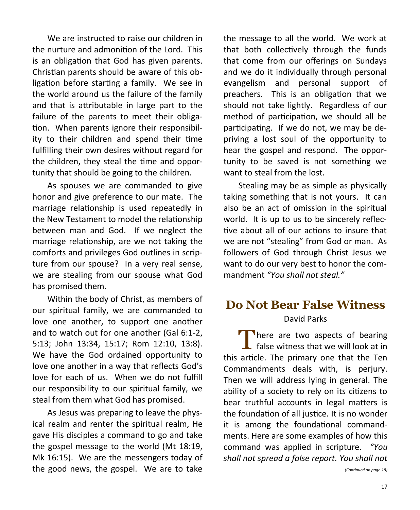We are instructed to raise our children in the nurture and admonition of the Lord. This is an obligation that God has given parents. Christian parents should be aware of this obligation before starting a family. We see in the world around us the failure of the family and that is attributable in large part to the failure of the parents to meet their obligation. When parents ignore their responsibility to their children and spend their time fulfilling their own desires without regard for the children, they steal the time and opportunity that should be going to the children.

As spouses we are commanded to give honor and give preference to our mate. The marriage relationship is used repeatedly in the New Testament to model the relationship between man and God. If we neglect the marriage relationship, are we not taking the comforts and privileges God outlines in scripture from our spouse? In a very real sense, we are stealing from our spouse what God has promised them.

Within the body of Christ, as members of our spiritual family, we are commanded to love one another, to support one another and to watch out for one another (Gal 6:1-2, 5:13; John 13:34, 15:17; Rom 12:10, 13:8). We have the God ordained opportunity to love one another in a way that reflects God's love for each of us. When we do not fulfill our responsibility to our spiritual family, we steal from them what God has promised.

As Jesus was preparing to leave the physical realm and renter the spiritual realm, He gave His disciples a command to go and take the gospel message to the world (Mt 18:19, Mk 16:15). We are the messengers today of the good news, the gospel. We are to take the message to all the world. We work at that both collectively through the funds that come from our offerings on Sundays and we do it individually through personal evangelism and personal support of preachers. This is an obligation that we should not take lightly. Regardless of our method of participation, we should all be participating. If we do not, we may be depriving a lost soul of the opportunity to hear the gospel and respond. The opportunity to be saved is not something we want to steal from the lost.

Stealing may be as simple as physically taking something that is not yours. It can also be an act of omission in the spiritual world. It is up to us to be sincerely reflective about all of our actions to insure that we are not "stealing" from God or man. As followers of God through Christ Jesus we want to do our very best to honor the commandment *"You shall not steal."*

# **Do Not Bear False Witness**

#### David Parks

There are two aspects of bearing<br>
false witness that we will look at in  $\overline{\phantom{a}}$  false witness that we will look at in this article. The primary one that the Ten Commandments deals with, is perjury. Then we will address lying in general. The ability of a society to rely on its citizens to bear truthful accounts in legal matters is the foundation of all justice. It is no wonder it is among the foundational commandments. Here are some examples of how this command was applied in scripture. *"You shall not spread a false report. You shall not*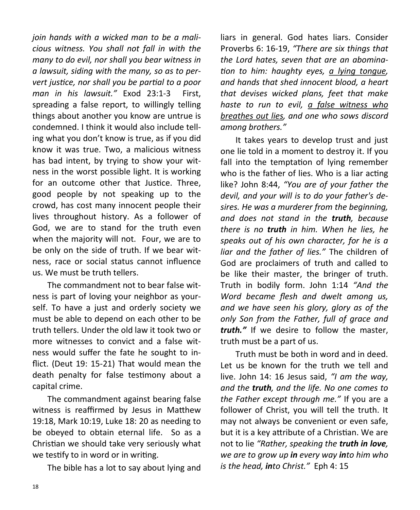*join hands with a wicked man to be a malicious witness. You shall not fall in with the many to do evil, nor shall you bear witness in a lawsuit, siding with the many, so as to pervert justice, nor shall you be partial to a poor man in his lawsuit."* Exod 23:1-3 First, spreading a false report, to willingly telling things about another you know are untrue is condemned. I think it would also include telling what you don't know is true, as if you did know it was true. Two, a malicious witness has bad intent, by trying to show your witness in the worst possible light. It is working for an outcome other that Justice. Three, good people by not speaking up to the crowd, has cost many innocent people their lives throughout history. As a follower of God, we are to stand for the truth even when the majority will not. Four, we are to be only on the side of truth. If we bear witness, race or social status cannot influence us. We must be truth tellers.

The commandment not to bear false witness is part of loving your neighbor as yourself. To have a just and orderly society we must be able to depend on each other to be truth tellers. Under the old law it took two or more witnesses to convict and a false witness would suffer the fate he sought to inflict. (Deut 19: 15-21) That would mean the death penalty for false testimony about a capital crime.

The commandment against bearing false witness is reaffirmed by Jesus in Matthew 19:18, Mark 10:19, Luke 18: 20 as needing to be obeyed to obtain eternal life. So as a Christian we should take very seriously what we testify to in word or in writing.

The bible has a lot to say about lying and

liars in general. God hates liars. Consider Proverbs 6: 16-19, *"There are six things that the Lord hates, seven that are an abomination to him: haughty eyes, a lying tongue, and hands that shed innocent blood, a heart that devises wicked plans, feet that make haste to run to evil, a false witness who breathes out lies, and one who sows discord among brothers."*

It takes years to develop trust and just one lie told in a moment to destroy it. If you fall into the temptation of lying remember who is the father of lies. Who is a liar acting like? John 8:44, *"You are of your father the devil, and your will is to do your father's desires. He was a murderer from the beginning, and does not stand in the truth, because there is no truth in him. When he lies, he speaks out of his own character, for he is a liar and the father of lies."* The children of God are proclaimers of truth and called to be like their master, the bringer of truth. Truth in bodily form. John 1:14 *"And the Word became flesh and dwelt among us, and we have seen his glory, glory as of the only Son from the Father, full of grace and truth."* If we desire to follow the master, truth must be a part of us.

Truth must be both in word and in deed. Let us be known for the truth we tell and live. John 14: 16 Jesus said, *"I am the way, and the truth, and the life. No one comes to the Father except through me."* If you are a follower of Christ, you will tell the truth. It may not always be convenient or even safe, but it is a key attribute of a Christian. We are not to lie *"Rather, speaking the truth in love, we are to grow up in every way into him who is the head, into Christ."* Eph 4: 15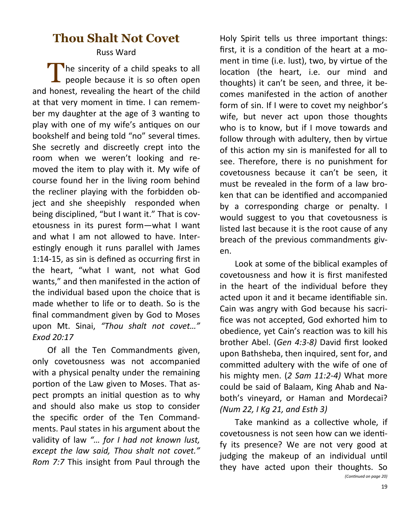## **Thou Shalt Not Covet**

#### Russ Ward

The sincerity of a child speaks to all<br>people because it is so often open people because it is so often open and honest, revealing the heart of the child at that very moment in time. I can remember my daughter at the age of 3 wanting to play with one of my wife's antiques on our bookshelf and being told "no" several times. She secretly and discreetly crept into the room when we weren't looking and removed the item to play with it. My wife of course found her in the living room behind the recliner playing with the forbidden object and she sheepishly responded when being disciplined, "but I want it." That is covetousness in its purest form—what I want and what I am not allowed to have. Interestingly enough it runs parallel with James 1:14-15, as sin is defined as occurring first in the heart, "what I want, not what God wants," and then manifested in the action of the individual based upon the choice that is made whether to life or to death. So is the final commandment given by God to Moses upon Mt. Sinai, *"Thou shalt not covet…" Exod 20:17*

Of all the Ten Commandments given, only covetousness was not accompanied with a physical penalty under the remaining portion of the Law given to Moses. That aspect prompts an initial question as to why and should also make us stop to consider the specific order of the Ten Commandments. Paul states in his argument about the validity of law *"… for I had not known lust, except the law said, Thou shalt not covet." Rom 7:7* This insight from Paul through the

Holy Spirit tells us three important things: first, it is a condition of the heart at a moment in time (i.e. lust), two, by virtue of the location (the heart, i.e. our mind and thoughts) it can't be seen, and three, it becomes manifested in the action of another form of sin. If I were to covet my neighbor's wife, but never act upon those thoughts who is to know, but if I move towards and follow through with adultery, then by virtue of this action my sin is manifested for all to see. Therefore, there is no punishment for covetousness because it can't be seen, it must be revealed in the form of a law broken that can be identified and accompanied by a corresponding charge or penalty. I would suggest to you that covetousness is listed last because it is the root cause of any breach of the previous commandments given.

Look at some of the biblical examples of covetousness and how it is first manifested in the heart of the individual before they acted upon it and it became identifiable sin. Cain was angry with God because his sacrifice was not accepted, God exhorted him to obedience, yet Cain's reaction was to kill his brother Abel. (*Gen 4:3-8)* David first looked upon Bathsheba, then inquired, sent for, and committed adultery with the wife of one of his mighty men. (*2 Sam 11:2-4)* What more could be said of Balaam, King Ahab and Naboth's vineyard, or Haman and Mordecai? *(Num 22, I Kg 21, and Esth 3)*

Take mankind as a collective whole, if covetousness is not seen how can we identify its presence? We are not very good at judging the makeup of an individual until they have acted upon their thoughts. So *(Continued on page 20)*